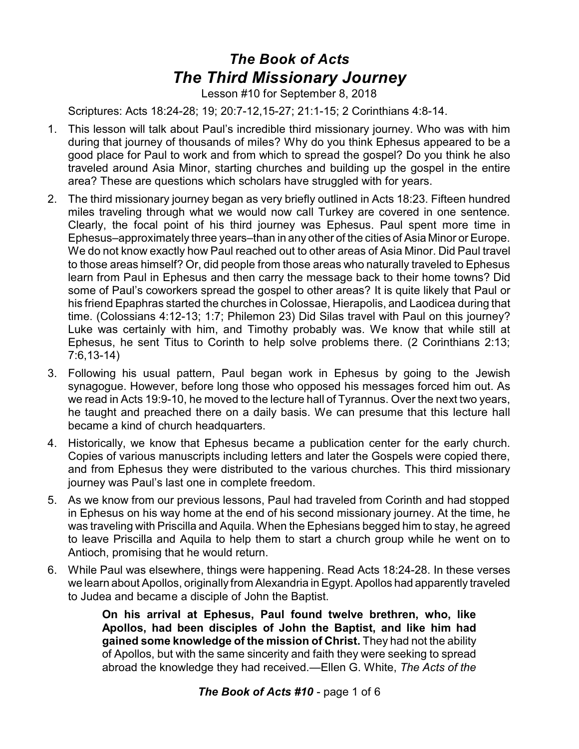## *The Book of Acts The Third Missionary Journey*

Lesson #10 for September 8, 2018

Scriptures: Acts 18:24-28; 19; 20:7-12,15-27; 21:1-15; 2 Corinthians 4:8-14.

- 1. This lesson will talk about Paul's incredible third missionary journey. Who was with him during that journey of thousands of miles? Why do you think Ephesus appeared to be a good place for Paul to work and from which to spread the gospel? Do you think he also traveled around Asia Minor, starting churches and building up the gospel in the entire area? These are questions which scholars have struggled with for years.
- 2. The third missionary journey began as very briefly outlined in Acts 18:23. Fifteen hundred miles traveling through what we would now call Turkey are covered in one sentence. Clearly, the focal point of his third journey was Ephesus. Paul spent more time in Ephesus–approximately three years–than in any other of the cities of Asia Minor or Europe. We do not know exactly how Paul reached out to other areas of Asia Minor. Did Paul travel to those areas himself? Or, did people from those areas who naturally traveled to Ephesus learn from Paul in Ephesus and then carry the message back to their home towns? Did some of Paul's coworkers spread the gospel to other areas? It is quite likely that Paul or his friend Epaphras started the churches in Colossae, Hierapolis, and Laodicea during that time. (Colossians 4:12-13; 1:7; Philemon 23) Did Silas travel with Paul on this journey? Luke was certainly with him, and Timothy probably was. We know that while still at Ephesus, he sent Titus to Corinth to help solve problems there. (2 Corinthians 2:13; 7:6,13-14)
- 3. Following his usual pattern, Paul began work in Ephesus by going to the Jewish synagogue. However, before long those who opposed his messages forced him out. As we read in Acts 19:9-10, he moved to the lecture hall of Tyrannus. Over the next two years, he taught and preached there on a daily basis. We can presume that this lecture hall became a kind of church headquarters.
- 4. Historically, we know that Ephesus became a publication center for the early church. Copies of various manuscripts including letters and later the Gospels were copied there, and from Ephesus they were distributed to the various churches. This third missionary journey was Paul's last one in complete freedom.
- 5. As we know from our previous lessons, Paul had traveled from Corinth and had stopped in Ephesus on his way home at the end of his second missionary journey. At the time, he was traveling with Priscilla and Aquila. When the Ephesians begged him to stay, he agreed to leave Priscilla and Aquila to help them to start a church group while he went on to Antioch, promising that he would return.
- 6. While Paul was elsewhere, things were happening. Read Acts 18:24-28. In these verses we learn about Apollos, originally from Alexandria in Egypt. Apollos had apparently traveled to Judea and became a disciple of John the Baptist.

**On his arrival at Ephesus, Paul found twelve brethren, who, like Apollos, had been disciples of John the Baptist, and like him had gained some knowledge of the mission of Christ.** They had not the ability of Apollos, but with the same sincerity and faith they were seeking to spread abroad the knowledge they had received.—Ellen G. White, *The Acts of the*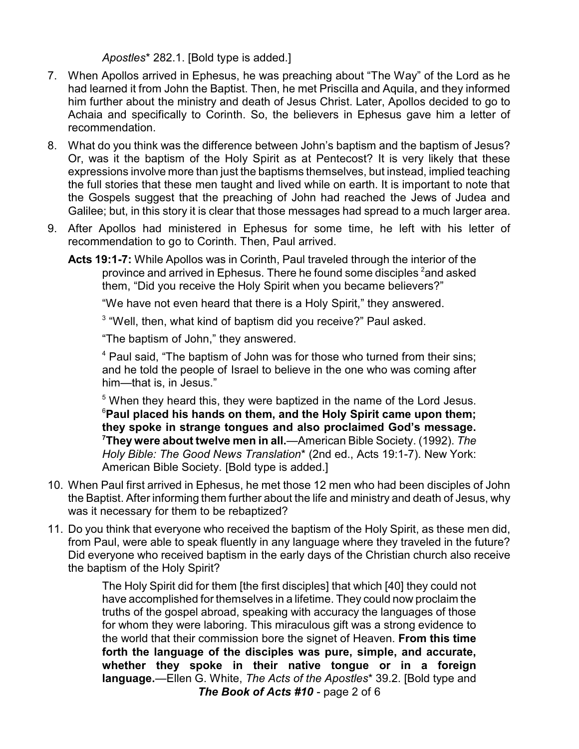*Apostles*\* 282.1. [Bold type is added.]

- 7. When Apollos arrived in Ephesus, he was preaching about "The Way" of the Lord as he had learned it from John the Baptist. Then, he met Priscilla and Aquila, and they informed him further about the ministry and death of Jesus Christ. Later, Apollos decided to go to Achaia and specifically to Corinth. So, the believers in Ephesus gave him a letter of recommendation.
- 8. What do you think was the difference between John's baptism and the baptism of Jesus? Or, was it the baptism of the Holy Spirit as at Pentecost? It is very likely that these expressions involve more than just the baptisms themselves, but instead, implied teaching the full stories that these men taught and lived while on earth. It is important to note that the Gospels suggest that the preaching of John had reached the Jews of Judea and Galilee; but, in this story it is clear that those messages had spread to a much larger area.
- 9. After Apollos had ministered in Ephesus for some time, he left with his letter of recommendation to go to Corinth. Then, Paul arrived.
	- **Acts 19:1-7:** While Apollos was in Corinth, Paul traveled through the interior of the province and arrived in Ephesus. There he found some disciples  $^{\text{2}}$ and asked them, "Did you receive the Holy Spirit when you became believers?"

"We have not even heard that there is a Holy Spirit," they answered.

<sup>3</sup> "Well, then, what kind of baptism did you receive?" Paul asked.

"The baptism of John," they answered.

<sup>4</sup> Paul said, "The baptism of John was for those who turned from their sins; and he told the people of Israel to believe in the one who was coming after him—that is, in Jesus."

<sup>5</sup> When they heard this, they were baptized in the name of the Lord Jesus. <sup>6</sup>**Paul placed his hands on them, and the Holy Spirit came upon them; they spoke in strange tongues and also proclaimed God's message. <sup>7</sup>They were about twelve men in all.**—American Bible Society. (1992). *The Holy Bible: The Good News Translation*\* (2nd ed., Acts 19:1-7). New York: American Bible Society*.* [Bold type is added.]

- 10. When Paul first arrived in Ephesus, he met those 12 men who had been disciples of John the Baptist. After informing them further about the life and ministry and death of Jesus, why was it necessary for them to be rebaptized?
- 11. Do you think that everyone who received the baptism of the Holy Spirit, as these men did, from Paul, were able to speak fluently in any language where they traveled in the future? Did everyone who received baptism in the early days of the Christian church also receive the baptism of the Holy Spirit?

The Holy Spirit did for them [the first disciples] that which [40] they could not have accomplished for themselves in a lifetime. They could now proclaim the truths of the gospel abroad, speaking with accuracy the languages of those for whom they were laboring. This miraculous gift was a strong evidence to the world that their commission bore the signet of Heaven. **From this time forth the language of the disciples was pure, simple, and accurate, whether they spoke in their native tongue or in a foreign language.**—Ellen G. White, *The Acts of the Apostles*\* 39.2. [Bold type and *The Book of Acts #10* - page 2 of 6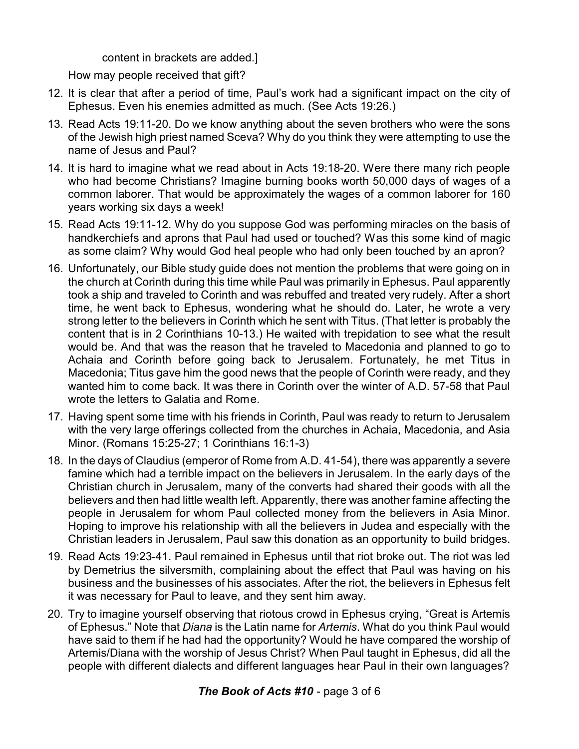content in brackets are added.]

How may people received that gift?

- 12. It is clear that after a period of time, Paul's work had a significant impact on the city of Ephesus. Even his enemies admitted as much. (See Acts 19:26.)
- 13. Read Acts 19:11-20. Do we know anything about the seven brothers who were the sons of the Jewish high priest named Sceva? Why do you think they were attempting to use the name of Jesus and Paul?
- 14. It is hard to imagine what we read about in Acts 19:18-20. Were there many rich people who had become Christians? Imagine burning books worth 50,000 days of wages of a common laborer. That would be approximately the wages of a common laborer for 160 years working six days a week!
- 15. Read Acts 19:11-12. Why do you suppose God was performing miracles on the basis of handkerchiefs and aprons that Paul had used or touched? Was this some kind of magic as some claim? Why would God heal people who had only been touched by an apron?
- 16. Unfortunately, our Bible study guide does not mention the problems that were going on in the church at Corinth during this time while Paul was primarily in Ephesus. Paul apparently took a ship and traveled to Corinth and was rebuffed and treated very rudely. After a short time, he went back to Ephesus, wondering what he should do. Later, he wrote a very strong letter to the believers in Corinth which he sent with Titus. (That letter is probably the content that is in 2 Corinthians 10-13.) He waited with trepidation to see what the result would be. And that was the reason that he traveled to Macedonia and planned to go to Achaia and Corinth before going back to Jerusalem. Fortunately, he met Titus in Macedonia; Titus gave him the good news that the people of Corinth were ready, and they wanted him to come back. It was there in Corinth over the winter of A.D. 57-58 that Paul wrote the letters to Galatia and Rome.
- 17. Having spent some time with his friends in Corinth, Paul was ready to return to Jerusalem with the very large offerings collected from the churches in Achaia, Macedonia, and Asia Minor. (Romans 15:25-27; 1 Corinthians 16:1-3)
- 18. In the days of Claudius (emperor of Rome from A.D. 41-54), there was apparently a severe famine which had a terrible impact on the believers in Jerusalem. In the early days of the Christian church in Jerusalem, many of the converts had shared their goods with all the believers and then had little wealth left. Apparently, there was another famine affecting the people in Jerusalem for whom Paul collected money from the believers in Asia Minor. Hoping to improve his relationship with all the believers in Judea and especially with the Christian leaders in Jerusalem, Paul saw this donation as an opportunity to build bridges.
- 19. Read Acts 19:23-41. Paul remained in Ephesus until that riot broke out. The riot was led by Demetrius the silversmith, complaining about the effect that Paul was having on his business and the businesses of his associates. After the riot, the believers in Ephesus felt it was necessary for Paul to leave, and they sent him away.
- 20. Try to imagine yourself observing that riotous crowd in Ephesus crying, "Great is Artemis of Ephesus." Note that *Diana* is the Latin name for *Artemis*. What do you think Paul would have said to them if he had had the opportunity? Would he have compared the worship of Artemis/Diana with the worship of Jesus Christ? When Paul taught in Ephesus, did all the people with different dialects and different languages hear Paul in their own languages?

## *The Book of Acts #10* - page 3 of 6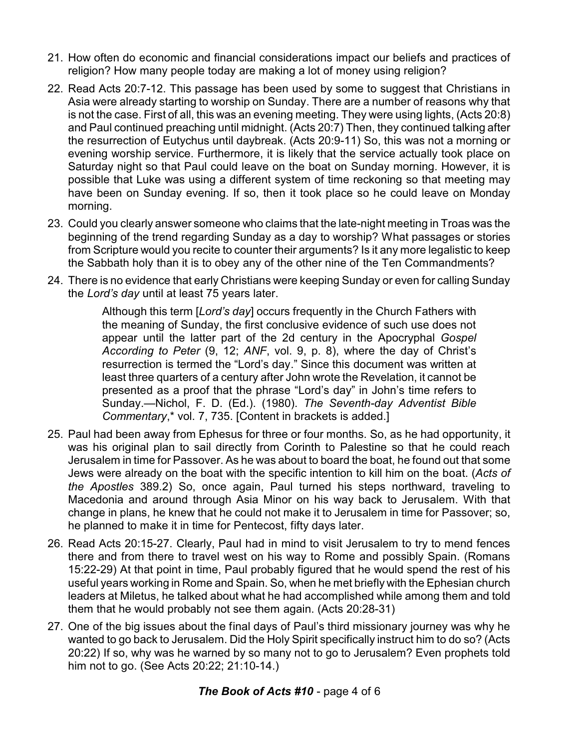- 21. How often do economic and financial considerations impact our beliefs and practices of religion? How many people today are making a lot of money using religion?
- 22. Read Acts 20:7-12. This passage has been used by some to suggest that Christians in Asia were already starting to worship on Sunday. There are a number of reasons why that is not the case. First of all, this was an evening meeting. They were using lights, (Acts 20:8) and Paul continued preaching until midnight. (Acts 20:7) Then, they continued talking after the resurrection of Eutychus until daybreak. (Acts 20:9-11) So, this was not a morning or evening worship service. Furthermore, it is likely that the service actually took place on Saturday night so that Paul could leave on the boat on Sunday morning. However, it is possible that Luke was using a different system of time reckoning so that meeting may have been on Sunday evening. If so, then it took place so he could leave on Monday morning.
- 23. Could you clearly answer someone who claims that the late-night meeting in Troas was the beginning of the trend regarding Sunday as a day to worship? What passages or stories from Scripture would you recite to counter their arguments? Is it any more legalistic to keep the Sabbath holy than it is to obey any of the other nine of the Ten Commandments?
- 24. There is no evidence that early Christians were keeping Sunday or even for calling Sunday the *Lord's day* until at least 75 years later.

Although this term [*Lord's day*] occurs frequently in the Church Fathers with the meaning of Sunday, the first conclusive evidence of such use does not appear until the latter part of the 2d century in the Apocryphal *Gospel According to Peter* (9, 12; *ANF*, vol. 9, p. 8), where the day of Christ's resurrection is termed the "Lord's day." Since this document was written at least three quarters of a century after John wrote the Revelation, it cannot be presented as a proof that the phrase "Lord's day" in John's time refers to Sunday.—Nichol, F. D. (Ed.). (1980). *The Seventh-day Adventist Bible Commentary*,\* vol. 7, 735. [Content in brackets is added.]

- 25. Paul had been away from Ephesus for three or four months. So, as he had opportunity, it was his original plan to sail directly from Corinth to Palestine so that he could reach Jerusalem in time for Passover. As he was about to board the boat, he found out that some Jews were already on the boat with the specific intention to kill him on the boat. (*Acts of the Apostles* 389.2) So, once again, Paul turned his steps northward, traveling to Macedonia and around through Asia Minor on his way back to Jerusalem. With that change in plans, he knew that he could not make it to Jerusalem in time for Passover; so, he planned to make it in time for Pentecost, fifty days later.
- 26. Read Acts 20:15-27. Clearly, Paul had in mind to visit Jerusalem to try to mend fences there and from there to travel west on his way to Rome and possibly Spain. (Romans 15:22-29) At that point in time, Paul probably figured that he would spend the rest of his useful years working in Rome and Spain. So, when he met briefly with the Ephesian church leaders at Miletus, he talked about what he had accomplished while among them and told them that he would probably not see them again. (Acts 20:28-31)
- 27. One of the big issues about the final days of Paul's third missionary journey was why he wanted to go back to Jerusalem. Did the Holy Spirit specifically instruct him to do so? (Acts 20:22) If so, why was he warned by so many not to go to Jerusalem? Even prophets told him not to go. (See Acts 20:22; 21:10-14.)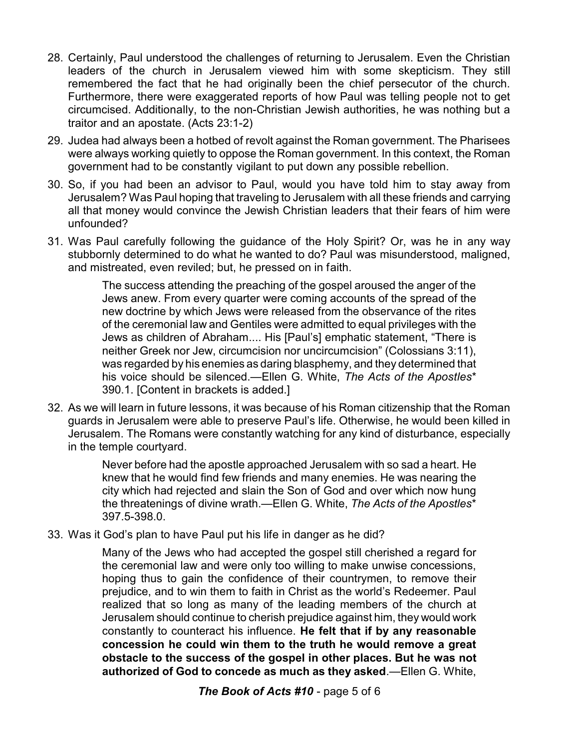- 28. Certainly, Paul understood the challenges of returning to Jerusalem. Even the Christian leaders of the church in Jerusalem viewed him with some skepticism. They still remembered the fact that he had originally been the chief persecutor of the church. Furthermore, there were exaggerated reports of how Paul was telling people not to get circumcised. Additionally, to the non-Christian Jewish authorities, he was nothing but a traitor and an apostate. (Acts 23:1-2)
- 29. Judea had always been a hotbed of revolt against the Roman government. The Pharisees were always working quietly to oppose the Roman government. In this context, the Roman government had to be constantly vigilant to put down any possible rebellion.
- 30. So, if you had been an advisor to Paul, would you have told him to stay away from Jerusalem? Was Paul hoping that traveling to Jerusalem with all these friends and carrying all that money would convince the Jewish Christian leaders that their fears of him were unfounded?
- 31. Was Paul carefully following the guidance of the Holy Spirit? Or, was he in any way stubbornly determined to do what he wanted to do? Paul was misunderstood, maligned, and mistreated, even reviled; but, he pressed on in faith.

The success attending the preaching of the gospel aroused the anger of the Jews anew. From every quarter were coming accounts of the spread of the new doctrine by which Jews were released from the observance of the rites of the ceremonial law and Gentiles were admitted to equal privileges with the Jews as children of Abraham.... His [Paul's] emphatic statement, "There is neither Greek nor Jew, circumcision nor uncircumcision" (Colossians 3:11), was regarded by his enemies as daring blasphemy, and they determined that his voice should be silenced.—Ellen G. White, *The Acts of the Apostles*\* 390.1. [Content in brackets is added.]

32. As we will learn in future lessons, it was because of his Roman citizenship that the Roman guards in Jerusalem were able to preserve Paul's life. Otherwise, he would been killed in Jerusalem. The Romans were constantly watching for any kind of disturbance, especially in the temple courtyard.

> Never before had the apostle approached Jerusalem with so sad a heart. He knew that he would find few friends and many enemies. He was nearing the city which had rejected and slain the Son of God and over which now hung the threatenings of divine wrath.—Ellen G. White, *The Acts of the Apostles*\* 397.5-398.0.

33. Was it God's plan to have Paul put his life in danger as he did?

Many of the Jews who had accepted the gospel still cherished a regard for the ceremonial law and were only too willing to make unwise concessions, hoping thus to gain the confidence of their countrymen, to remove their prejudice, and to win them to faith in Christ as the world's Redeemer. Paul realized that so long as many of the leading members of the church at Jerusalem should continue to cherish prejudice against him, they would work constantly to counteract his influence. **He felt that if by any reasonable concession he could win them to the truth he would remove a great obstacle to the success of the gospel in other places. But he was not authorized of God to concede as much as they asked**.—Ellen G. White,